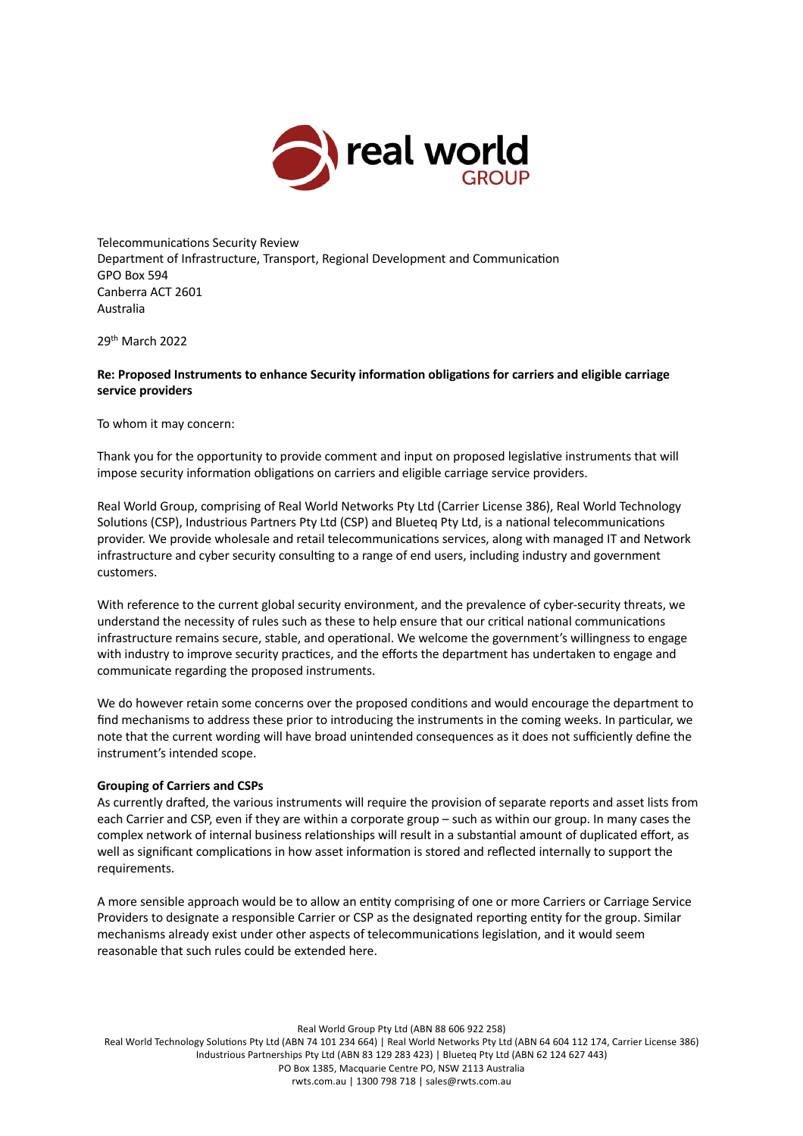

Telecommunications Security Review Department of Infrastructure, Transport, Regional Development and Communication GPO Box 594 Canberra ACT 2601 Australia

29th March 2022

# **Re: Proposed Instruments to enhance Security informa7on obliga7ons for carriers and eligible carriage service providers**

To whom it may concern:

Thank you for the opportunity to provide comment and input on proposed legislative instruments that will impose security information obligations on carriers and eligible carriage service providers.

Real World Group, comprising of Real World Networks Pty Ltd (Carrier License 386), Real World Technology Solutions (CSP), Industrious Partners Pty Ltd (CSP) and Blueteq Pty Ltd, is a national telecommunications provider. We provide wholesale and retail telecommunications services, along with managed IT and Network infrastructure and cyber security consulting to a range of end users, including industry and government customers.

With reference to the current global security environment, and the prevalence of cyber-security threats, we understand the necessity of rules such as these to help ensure that our critical national communications infrastructure remains secure, stable, and operational. We welcome the government's willingness to engage with industry to improve security practices, and the efforts the department has undertaken to engage and communicate regarding the proposed instruments.

We do however retain some concerns over the proposed conditions and would encourage the department to find mechanisms to address these prior to introducing the instruments in the coming weeks. In particular, we note that the current wording will have broad unintended consequences as it does not sufficiently define the instrument's intended scope.

## **Grouping of Carriers and CSPs**

As currently drafted, the various instruments will require the provision of separate reports and asset lists from each Carrier and CSP, even if they are within a corporate group – such as within our group. In many cases the complex network of internal business relationships will result in a substantial amount of duplicated effort, as well as significant complications in how asset information is stored and reflected internally to support the requirements.

A more sensible approach would be to allow an entity comprising of one or more Carriers or Carriage Service Providers to designate a responsible Carrier or CSP as the designated reporting entity for the group. Similar mechanisms already exist under other aspects of telecommunications legislation, and it would seem reasonable that such rules could be extended here.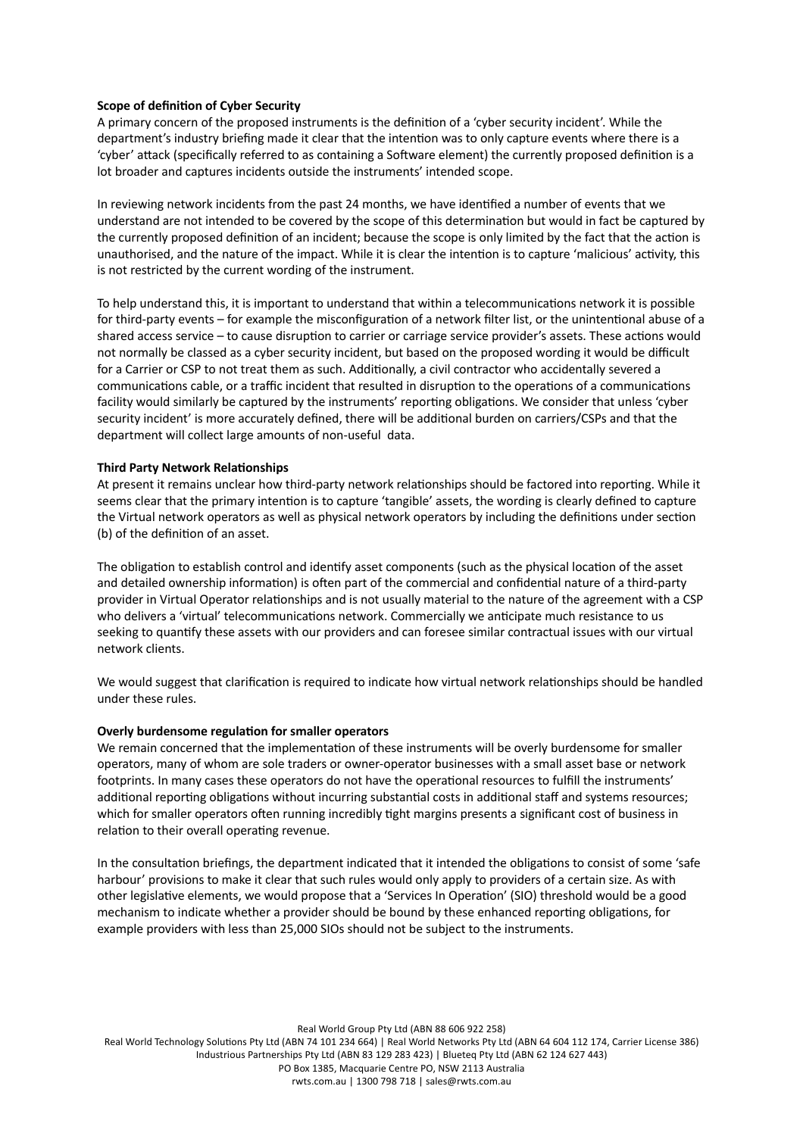# **Scope of definition of Cyber Security**

A primary concern of the proposed instruments is the definition of a 'cyber security incident'. While the department's industry briefing made it clear that the intention was to only capture events where there is a 'cyber' attack (specifically referred to as containing a Software element) the currently proposed definition is a lot broader and captures incidents outside the instruments' intended scope.

In reviewing network incidents from the past 24 months, we have identified a number of events that we understand are not intended to be covered by the scope of this determination but would in fact be captured by the currently proposed definition of an incident; because the scope is only limited by the fact that the action is unauthorised, and the nature of the impact. While it is clear the intention is to capture 'malicious' activity, this is not restricted by the current wording of the instrument.

To help understand this, it is important to understand that within a telecommunications network it is possible for third-party events – for example the misconfiguration of a network filter list, or the unintentional abuse of a shared access service – to cause disruption to carrier or carriage service provider's assets. These actions would not normally be classed as a cyber security incident, but based on the proposed wording it would be difficult for a Carrier or CSP to not treat them as such. Additionally, a civil contractor who accidentally severed a communications cable, or a traffic incident that resulted in disruption to the operations of a communications facility would similarly be captured by the instruments' reporting obligations. We consider that unless 'cyber security incident' is more accurately defined, there will be additional burden on carriers/CSPs and that the department will collect large amounts of non-useful data.

## **Third Party Network Relationships**

At present it remains unclear how third-party network relationships should be factored into reporting. While it seems clear that the primary intention is to capture 'tangible' assets, the wording is clearly defined to capture the Virtual network operators as well as physical network operators by including the definitions under section (b) of the definition of an asset.

The obligation to establish control and identify asset components (such as the physical location of the asset and detailed ownership information) is often part of the commercial and confidential nature of a third-party provider in Virtual Operator relationships and is not usually material to the nature of the agreement with a CSP who delivers a 'virtual' telecommunications network. Commercially we anticipate much resistance to us seeking to quantify these assets with our providers and can foresee similar contractual issues with our virtual network clients.

We would suggest that clarification is required to indicate how virtual network relationships should be handled under these rules.

## **Overly burdensome regulation for smaller operators**

We remain concerned that the implementation of these instruments will be overly burdensome for smaller operators, many of whom are sole traders or owner-operator businesses with a small asset base or network footprints. In many cases these operators do not have the operational resources to fulfill the instruments' additional reporting obligations without incurring substantial costs in additional staff and systems resources; which for smaller operators often running incredibly tight margins presents a significant cost of business in relation to their overall operating revenue.

In the consultation briefings, the department indicated that it intended the obligations to consist of some 'safe harbour' provisions to make it clear that such rules would only apply to providers of a certain size. As with other legislative elements, we would propose that a 'Services In Operation' (SIO) threshold would be a good mechanism to indicate whether a provider should be bound by these enhanced reporting obligations, for example providers with less than 25,000 SIOs should not be subject to the instruments.